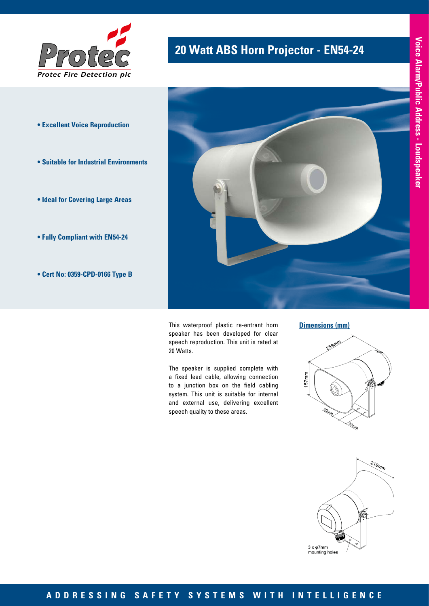

- **Excellent Voice Reproduction**
- **Suitable for Industrial Environments**
- **Ideal for Covering Large Areas**
- **Fully Compliant with EN54-24**
- **Cert No: 0359-CPD-0166 Type B**

# **20 Watt ABS Horn Projector - EN54-24 Protector** - **Protector** - **Protector** - **Protector**



This waterproof plastic re-entrant horn speaker has been developed for clear speech reproduction. This unit is rated at 20 Watts.

The speaker is supplied complete with a fixed lead cable, allowing connection to a junction box on the field cabling system. This unit is suitable for internal and external use, delivering excellent speech quality to these areas.

#### **Dimensions (mm)**